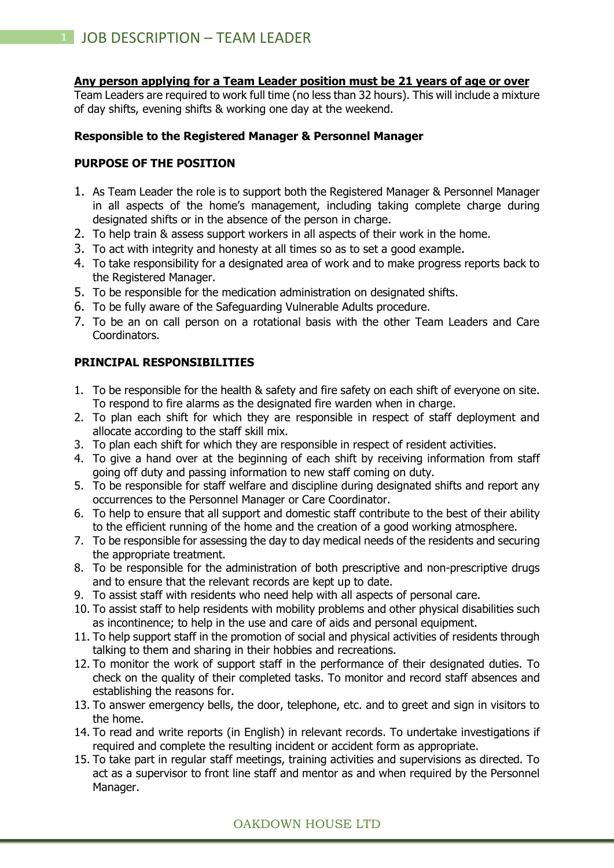#### **Any person applying for a Team Leader position must be 21 years of age or over**

Team Leaders are required to work full time (no less than 32 hours). This will include a mixture of day shifts, evening shifts & working one day at the weekend.

## **Responsible to the Registered Manager & Personnel Manager**

### **PURPOSE OF THE POSITION**

- 1. As Team Leader the role is to support both the Registered Manager & Personnel Manager in all aspects of the home's management, including taking complete charge during designated shifts or in the absence of the person in charge.
- 2. To help train & assess support workers in all aspects of their work in the home.
- 3. To act with integrity and honesty at all times so as to set a good example.
- 4. To take responsibility for a designated area of work and to make progress reports back to the Registered Manager.
- 5. To be responsible for the medication administration on designated shifts.
- 6. To be fully aware of the Safeguarding Vulnerable Adults procedure.
- 7. To be an on call person on a rotational basis with the other Team Leaders and Care Coordinators.

## **PRINCIPAL RESPONSIBILITIES**

- 1. To be responsible for the health & safety and fire safety on each shift of everyone on site. To respond to fire alarms as the designated fire warden when in charge.
- 2. To plan each shift for which they are responsible in respect of staff deployment and allocate according to the staff skill mix.
- 3. To plan each shift for which they are responsible in respect of resident activities.
- 4. To give a hand over at the beginning of each shift by receiving information from staff going off duty and passing information to new staff coming on duty.
- 5. To be responsible for staff welfare and discipline during designated shifts and report any occurrences to the Personnel Manager or Care Coordinator.
- 6. To help to ensure that all support and domestic staff contribute to the best of their ability to the efficient running of the home and the creation of a good working atmosphere.
- 7. To be responsible for assessing the day to day medical needs of the residents and securing the appropriate treatment.
- 8. To be responsible for the administration of both prescriptive and non-prescriptive drugs and to ensure that the relevant records are kept up to date.
- 9. To assist staff with residents who need help with all aspects of personal care.
- 10. To assist staff to help residents with mobility problems and other physical disabilities such as incontinence; to help in the use and care of aids and personal equipment.
- 11. To help support staff in the promotion of social and physical activities of residents through talking to them and sharing in their hobbies and recreations.
- 12. To monitor the work of support staff in the performance of their designated duties. To check on the quality of their completed tasks. To monitor and record staff absences and establishing the reasons for.
- 13. To answer emergency bells, the door, telephone, etc. and to greet and sign in visitors to the home.
- 14. To read and write reports (in English) in relevant records. To undertake investigations if required and complete the resulting incident or accident form as appropriate.
- 15. To take part in regular staff meetings, training activities and supervisions as directed. To act as a supervisor to front line staff and mentor as and when required by the Personnel Manager.

## OAKDOWN HOUSE LTD